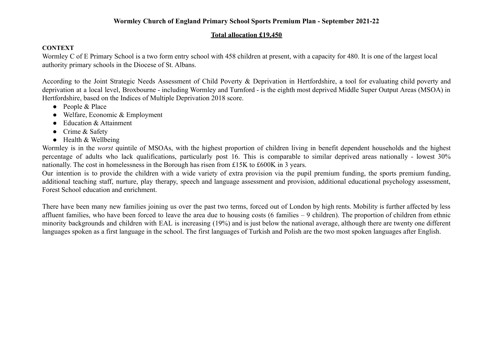### **Wormley Church of England Primary School Sports Premium Plan - September 2021-22**

#### **Total allocation £19,450**

#### **CONTEXT**

Wormley C of E Primary School is a two form entry school with 458 children at present, with a capacity for 480. It is one of the largest local authority primary schools in the Diocese of St. Albans.

According to the Joint Strategic Needs Assessment of Child Poverty & Deprivation in Hertfordshire, a tool for evaluating child poverty and deprivation at a local level, Broxbourne - including Wormley and Turnford - is the eighth most deprived Middle Super Output Areas (MSOA) in Hertfordshire, based on the Indices of Multiple Deprivation 2018 score.

- People & Place
- Welfare, Economic & Employment
- Education & Attainment
- Crime & Safety
- Health & Wellbeing

Wormley is in the *worst* quintile of MSOAs, with the highest proportion of children living in benefit dependent households and the highest percentage of adults who lack qualifications, particularly post 16. This is comparable to similar deprived areas nationally - lowest 30% nationally. The cost in homelessness in the Borough has risen from £15K to £600K in 3 years.

Our intention is to provide the children with a wide variety of extra provision via the pupil premium funding, the sports premium funding, additional teaching staff, nurture, play therapy, speech and language assessment and provision, additional educational psychology assessment, Forest School education and enrichment.

There have been many new families joining us over the past two terms, forced out of London by high rents. Mobility is further affected by less affluent families, who have been forced to leave the area due to housing costs (6 families – 9 children). The proportion of children from ethnic minority backgrounds and children with EAL is increasing (19%) and is just below the national average, although there are twenty one different languages spoken as a first language in the school. The first languages of Turkish and Polish are the two most spoken languages after English.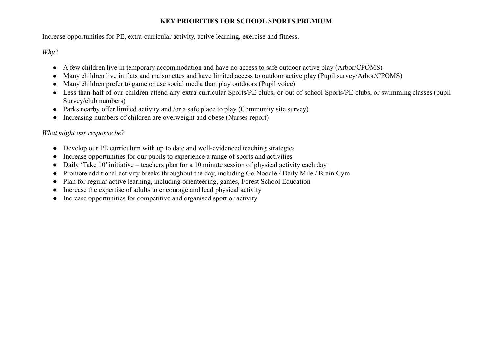# **KEY PRIORITIES FOR SCHOOL SPORTS PREMIUM**

Increase opportunities for PE, extra-curricular activity, active learning, exercise and fitness.

*Why?*

- A few children live in temporary accommodation and have no access to safe outdoor active play (Arbor/CPOMS)
- Many children live in flats and maisonettes and have limited access to outdoor active play (Pupil survey/Arbor/CPOMS)
- Many children prefer to game or use social media than play outdoors (Pupil voice)
- Less than half of our children attend any extra-curricular Sports/PE clubs, or out of school Sports/PE clubs, or swimming classes (pupil Survey/club numbers)
- Parks nearby offer limited activity and /or a safe place to play (Community site survey)
- Increasing numbers of children are overweight and obese (Nurses report)

# *What might our response be?*

- Develop our PE curriculum with up to date and well-evidenced teaching strategies
- Increase opportunities for our pupils to experience a range of sports and activities
- Daily 'Take 10' initiative teachers plan for a 10 minute session of physical activity each day
- Promote additional activity breaks throughout the day, including Go Noodle / Daily Mile / Brain Gym
- Plan for regular active learning, including orienteering, games, Forest School Education
- Increase the expertise of adults to encourage and lead physical activity
- Increase opportunities for competitive and organised sport or activity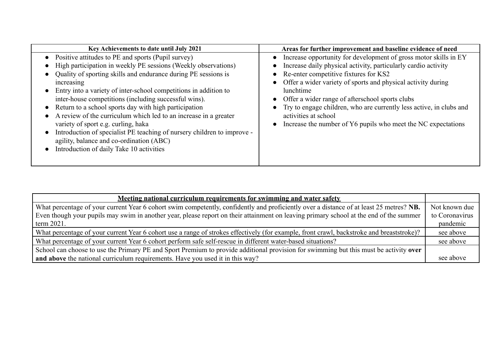| Key Achievements to date until July 2021                                                                                                                                                                                                                                                                                                                                                                                                                                                                                                                                                                                                                                 | Areas for further improvement and baseline evidence of need                                                                                                                                                                                                                                                                                                                                                                                                                                    |
|--------------------------------------------------------------------------------------------------------------------------------------------------------------------------------------------------------------------------------------------------------------------------------------------------------------------------------------------------------------------------------------------------------------------------------------------------------------------------------------------------------------------------------------------------------------------------------------------------------------------------------------------------------------------------|------------------------------------------------------------------------------------------------------------------------------------------------------------------------------------------------------------------------------------------------------------------------------------------------------------------------------------------------------------------------------------------------------------------------------------------------------------------------------------------------|
| Positive attitudes to PE and sports (Pupil survey)<br>High participation in weekly PE sessions (Weekly observations)<br>Quality of sporting skills and endurance during PE sessions is<br>increasing<br>Entry into a variety of inter-school competitions in addition to<br>inter-house competitions (including successful wins).<br>Return to a school sports day with high participation<br>A review of the curriculum which led to an increase in a greater<br>variety of sport e.g. curling, haka<br>Introduction of specialist PE teaching of nursery children to improve -<br>agility, balance and co-ordination (ABC)<br>Introduction of daily Take 10 activities | Increase opportunity for development of gross motor skills in EY<br>$\bullet$<br>Increase daily physical activity, particularly cardio activity<br>• Re-enter competitive fixtures for KS2<br>Offer a wider variety of sports and physical activity during<br>lunchtime<br>• Offer a wider range of afterschool sports clubs<br>• Try to engage children, who are currently less active, in clubs and<br>activities at school<br>Increase the number of Y6 pupils who meet the NC expectations |

| Meeting national curriculum requirements for swimming and water safety                                                                    |                |
|-------------------------------------------------------------------------------------------------------------------------------------------|----------------|
| What percentage of your current Year 6 cohort swim competently, confidently and proficiently over a distance of at least 25 metres? NB.   | Not known due  |
| Even though your pupils may swim in another year, please report on their attainment on leaving primary school at the end of the summer    | to Coronavirus |
| term $2021$ .                                                                                                                             | pandemic       |
| What percentage of your current Year 6 cohort use a range of strokes effectively (for example, front crawl, backstroke and breaststroke)? | see above      |
| What percentage of your current Year 6 cohort perform safe self-rescue in different water-based situations?                               | see above      |
| School can choose to use the Primary PE and Sport Premium to provide additional provision for swimming but this must be activity over     |                |
| and above the national curriculum requirements. Have you used it in this way?                                                             | see above      |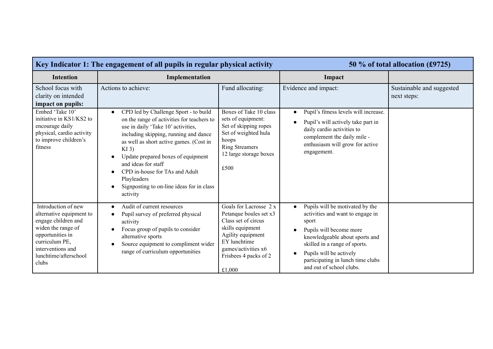| Key Indicator 1: The engagement of all pupils in regular physical activity                                                                                                                |                                                                                                                                                                                                                                                                                                                                                                                                              |                                                                                                                                                                                            | 50 % of total allocation (£9725)                                                                                                                                                                                                                                                                              |                                          |
|-------------------------------------------------------------------------------------------------------------------------------------------------------------------------------------------|--------------------------------------------------------------------------------------------------------------------------------------------------------------------------------------------------------------------------------------------------------------------------------------------------------------------------------------------------------------------------------------------------------------|--------------------------------------------------------------------------------------------------------------------------------------------------------------------------------------------|---------------------------------------------------------------------------------------------------------------------------------------------------------------------------------------------------------------------------------------------------------------------------------------------------------------|------------------------------------------|
| <b>Intention</b>                                                                                                                                                                          | Implementation                                                                                                                                                                                                                                                                                                                                                                                               |                                                                                                                                                                                            | Impact                                                                                                                                                                                                                                                                                                        |                                          |
| School focus with<br>clarity on intended<br>impact on pupils:                                                                                                                             | Actions to achieve:                                                                                                                                                                                                                                                                                                                                                                                          | Fund allocating:                                                                                                                                                                           | Evidence and impact:                                                                                                                                                                                                                                                                                          | Sustainable and suggested<br>next steps: |
| Embed 'Take 10'<br>initiative in KS1/KS2 to<br>encourage daily<br>physical, cardio activity<br>to improve children's<br>fitness                                                           | CPD led by Challenge Sport - to build<br>$\bullet$<br>on the range of activities for teachers to<br>use in daily 'Take 10' activities,<br>including skipping, running and dance<br>as well as short active games. (Cost in<br>$KI$ 3)<br>Update prepared boxes of equipment<br>and ideas for staff<br>CPD in-house for TAs and Adult<br>Playleaders<br>Signposting to on-line ideas for in class<br>activity | Boxes of Take 10 class<br>sets of equipment:<br>Set of skipping ropes<br>Set of weighted hula<br>hoops<br><b>Ring Streamers</b><br>12 large storage boxes<br>£500                          | Pupil's fitness levels will increase.<br>$\bullet$<br>Pupil's will actively take part in<br>$\bullet$<br>daily cardio activities to<br>complement the daily mile -<br>enthusiasm will grow for active<br>engagement.                                                                                          |                                          |
| Introduction of new<br>alternative equipment to<br>engage children and<br>widen the range of<br>opportunities in<br>curriculum PE,<br>interventions and<br>lunchtime/afterschool<br>clubs | Audit of current resources<br>$\bullet$<br>Pupil survey of preferred physical<br>activity<br>Focus group of pupils to consider<br>alternative sports<br>Source equipment to compliment wider<br>range of curriculum opportunities                                                                                                                                                                            | Goals for Lacrosse 2 x<br>Petanque boules set x3<br>Class set of circus<br>skills equipment<br>Agility equipment<br>EY lunchtime<br>games/activities x6<br>Frisbees 4 packs of 2<br>£1,000 | Pupils will be motivated by the<br>$\bullet$<br>activities and want to engage in<br>sport<br>Pupils will become more<br>$\bullet$<br>knowledgeable about sports and<br>skilled in a range of sports.<br>Pupils will be actively<br>$\bullet$<br>participating in lunch time clubs<br>and out of school clubs. |                                          |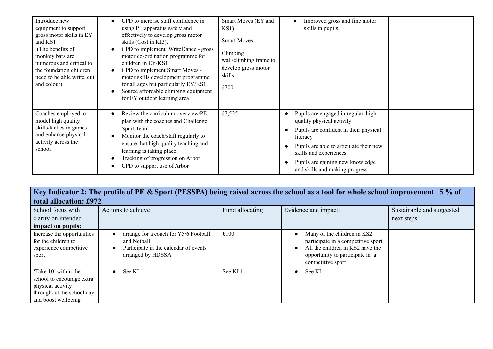| Introduce new<br>equipment to support<br>gross motor skills in EY<br>and KS1<br>(The benefits of<br>monkey bars are<br>numerous and critical to<br>the foundation children<br>need to be able write, cut<br>and colour) | CPD to increase staff confidence in<br>using PE apparatus safely and<br>effectively to develop gross motor<br>skills (Cost in KI3).<br>CPD to implement WriteDance - gross<br>motor co-ordination programme for<br>children in EY/KS1<br>CPD to implement Smart Moves -<br>motor skills development programme<br>for all ages but particularly EY/KS1<br>Source affordable climbing equipment<br>for EY outdoor learning area | Smart Moves (EY and<br>KS1)<br><b>Smart Moves</b><br>Climbing<br>wall/climbing frame to<br>develop gross motor<br>skills<br>£700 | Improved gross and fine motor<br>$\bullet$<br>skills in pupils.                                                                                                                                                                                                                |  |
|-------------------------------------------------------------------------------------------------------------------------------------------------------------------------------------------------------------------------|-------------------------------------------------------------------------------------------------------------------------------------------------------------------------------------------------------------------------------------------------------------------------------------------------------------------------------------------------------------------------------------------------------------------------------|----------------------------------------------------------------------------------------------------------------------------------|--------------------------------------------------------------------------------------------------------------------------------------------------------------------------------------------------------------------------------------------------------------------------------|--|
| Coaches employed to<br>model high quality<br>skills/tactics in games<br>and enhance physical<br>activity across the<br>school                                                                                           | Review the curriculum overview/PE<br>plan with the coaches and Challenge<br>Sport Team<br>Monitor the coach/staff regularly to<br>ensure that high quality teaching and<br>learning is taking place<br>Tracking of progression on Arbor<br>CPD to support use of Arbor                                                                                                                                                        | £7,525                                                                                                                           | Pupils are engaged in regular, high<br>$\bullet$<br>quality physical activity<br>Pupils are confident in their physical<br>literacy<br>Pupils are able to articulate their new<br>skills and experiences<br>Pupils are gaining new knowledge<br>and skills and making progress |  |

|                                                                                                                            | Key Indicator 2: The profile of PE & Sport (PESSPA) being raised across the school as a tool for whole school improvement 5% of |                     |                                                                                                                                                               |                                          |
|----------------------------------------------------------------------------------------------------------------------------|---------------------------------------------------------------------------------------------------------------------------------|---------------------|---------------------------------------------------------------------------------------------------------------------------------------------------------------|------------------------------------------|
| total allocation: £972                                                                                                     |                                                                                                                                 |                     |                                                                                                                                                               |                                          |
| School focus with<br>clarity on intended<br>impact on pupils:                                                              | Actions to achieve                                                                                                              | Fund allocating     | Evidence and impact:                                                                                                                                          | Sustainable and suggested<br>next steps: |
| Increase the opportunities<br>for the children to<br>experience competitive<br>sport                                       | arrange for a coach for Y5/6 Football<br>and Netball<br>Participate in the calendar of events<br>arranged by HDSSA              | £100                | Many of the children in KS2<br>participate in a competitive sport<br>All the children in KS2 have the<br>opportunity to participate in a<br>competitive sport |                                          |
| 'Take 10' within the<br>school to encourage extra<br>physical activity<br>throughout the school day<br>and boost wellbeing | See KI 1.<br>$\bullet$                                                                                                          | See KI <sub>1</sub> | See KI 1<br>$\bullet$                                                                                                                                         |                                          |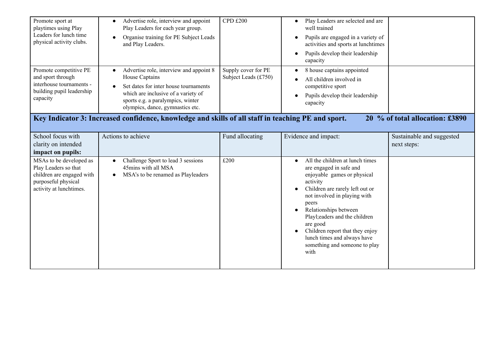| Promote sport at<br>playtimes using Play<br>Leaders for lunch time<br>physical activity clubs.                                 | Advertise role, interview and appoint<br>Play Leaders for each year group.<br>Organise training for PE Subject Leads<br>and Play Leaders.                                                                          | <b>CPD £200</b>                             | Play Leaders are selected and are<br>$\bullet$<br>well trained<br>Pupils are engaged in a variety of<br>activities and sports at lunchtimes<br>Pupils develop their leadership<br>capacity                                                                                                                                                                                       |                                          |
|--------------------------------------------------------------------------------------------------------------------------------|--------------------------------------------------------------------------------------------------------------------------------------------------------------------------------------------------------------------|---------------------------------------------|----------------------------------------------------------------------------------------------------------------------------------------------------------------------------------------------------------------------------------------------------------------------------------------------------------------------------------------------------------------------------------|------------------------------------------|
| Promote competitive PE<br>and sport through<br>interhouse tournaments -<br>building pupil leadership<br>capacity               | Advertise role, interview and appoint 8<br>House Captains<br>Set dates for inter house tournaments<br>which are inclusive of a variety of<br>sports e.g. a paralympics, winter<br>olympics, dance, gymnastics etc. | Supply cover for PE<br>Subject Leads (£750) | 8 house captains appointed<br>All children involved in<br>competitive sport<br>Pupils develop their leadership<br>capacity                                                                                                                                                                                                                                                       |                                          |
|                                                                                                                                | Key Indicator 3: Increased confidence, knowledge and skills of all staff in teaching PE and sport.                                                                                                                 |                                             |                                                                                                                                                                                                                                                                                                                                                                                  | 20 % of total allocation: £3890          |
| School focus with<br>clarity on intended<br>impact on pupils:                                                                  | Actions to achieve                                                                                                                                                                                                 | Fund allocating                             | Evidence and impact:                                                                                                                                                                                                                                                                                                                                                             | Sustainable and suggested<br>next steps: |
| MSAs to be developed as<br>Play Leaders so that<br>children are engaged with<br>purposeful physical<br>activity at lunchtimes. | Challenge Sport to lead 3 sessions<br>$\bullet$<br>45mins with all MSA<br>MSA's to be renamed as Playleaders                                                                                                       | £200                                        | All the children at lunch times<br>$\bullet$<br>are engaged in safe and<br>enjoyable games or physical<br>activity<br>Children are rarely left out or<br>not involved in playing with<br>peers<br>Relationships between<br>Playl; eaders and the children<br>are good<br>Children report that they enjoy<br>lunch times and always have<br>something and someone to play<br>with |                                          |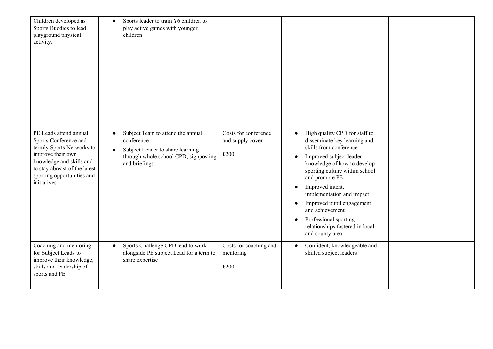| Children developed as<br>Sports Buddies to lead<br>playground physical<br>activity.                                                                                                                         | Sports leader to train Y6 children to<br>$\bullet$<br>play active games with younger<br>children                                                                        |                                                  |                                                                                                                                                                                                                                                                                                                                                                                                                                           |  |
|-------------------------------------------------------------------------------------------------------------------------------------------------------------------------------------------------------------|-------------------------------------------------------------------------------------------------------------------------------------------------------------------------|--------------------------------------------------|-------------------------------------------------------------------------------------------------------------------------------------------------------------------------------------------------------------------------------------------------------------------------------------------------------------------------------------------------------------------------------------------------------------------------------------------|--|
| PE Leads attend annual<br>Sports Conference and<br>termly Sports Networks to<br>improve their own<br>knowledge and skills and<br>to stay abreast of the latest<br>sporting opportunities and<br>initiatives | Subject Team to attend the annual<br>$\bullet$<br>conference<br>Subject Leader to share learning<br>$\bullet$<br>through whole school CPD, signposting<br>and briefings | Costs for conference<br>and supply cover<br>£200 | High quality CPD for staff to<br>disseminate key learning and<br>skills from conference<br>Improved subject leader<br>$\bullet$<br>knowledge of how to develop<br>sporting culture within school<br>and promote PE<br>Improved intent,<br>$\bullet$<br>implementation and impact<br>Improved pupil engagement<br>$\bullet$<br>and achievement<br>Professional sporting<br>$\bullet$<br>relationships fostered in local<br>and county area |  |
| Coaching and mentoring<br>for Subject Leads to<br>improve their knowledge,<br>skills and leadership of<br>sports and PE                                                                                     | Sports Challenge CPD lead to work<br>$\bullet$<br>alongside PE subject Lead for a term to<br>share expertise                                                            | Costs for coaching and<br>mentoring<br>£200      | Confident, knowledgeable and<br>skilled subject leaders                                                                                                                                                                                                                                                                                                                                                                                   |  |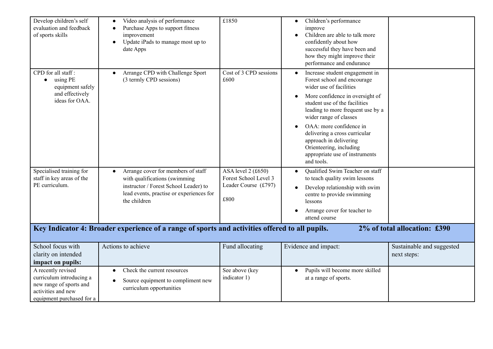| Develop children's self<br>evaluation and feedback<br>of sports skills                                                       | Video analysis of performance<br>$\bullet$<br>Purchase Apps to support fitness<br>improvement<br>Update iPads to manage most up to<br>$\bullet$<br>date Apps                          | £1850                                                                        | Children's performance<br>$\bullet$<br>improve<br>Children are able to talk more<br>confidently about how<br>successful they have been and<br>how they might improve their<br>performance and endurance                                                                                                                                                                                                                |                                          |
|------------------------------------------------------------------------------------------------------------------------------|---------------------------------------------------------------------------------------------------------------------------------------------------------------------------------------|------------------------------------------------------------------------------|------------------------------------------------------------------------------------------------------------------------------------------------------------------------------------------------------------------------------------------------------------------------------------------------------------------------------------------------------------------------------------------------------------------------|------------------------------------------|
| CPD for all staff:<br>using PE<br>$\bullet$<br>equipment safely<br>and effectively<br>ideas for OAA.                         | Arrange CPD with Challenge Sport<br>(3 termly CPD sessions)                                                                                                                           | Cost of 3 CPD sessions<br>£600                                               | Increase student engagement in<br>$\bullet$<br>Forest school and encourage<br>wider use of facilities<br>More confidence in oversight of<br>$\bullet$<br>student use of the facilities<br>leading to more frequent use by a<br>wider range of classes<br>OAA: more confidence in<br>delivering a cross curricular<br>approach in delivering<br>Orienteering, including<br>appropriate use of instruments<br>and tools. |                                          |
| Specialised training for<br>staff in key areas of the<br>PE curriculum.                                                      | Arrange cover for members of staff<br>$\bullet$<br>with qualifications (swimming<br>instructor / Forest School Leader) to<br>lead events, practise or experiences for<br>the children | ASA level $2(f650)$<br>Forest School Level 3<br>Leader Course (£797)<br>£800 | Qualified Swim Teacher on staff<br>to teach quality swim lessons<br>Develop relationship with swim<br>$\bullet$<br>centre to provide swimming<br>lessons<br>Arrange cover for teacher to<br>attend course                                                                                                                                                                                                              |                                          |
|                                                                                                                              | Key Indicator 4: Broader experience of a range of sports and activities offered to all pupils.                                                                                        |                                                                              |                                                                                                                                                                                                                                                                                                                                                                                                                        | 2% of total allocation: £390             |
| School focus with<br>clarity on intended<br>impact on pupils:                                                                | Actions to achieve                                                                                                                                                                    | Fund allocating                                                              | Evidence and impact:                                                                                                                                                                                                                                                                                                                                                                                                   | Sustainable and suggested<br>next steps: |
| A recently revised<br>curriculum introducing a<br>new range of sports and<br>activities and new<br>equipment purchased for a | Check the current resources<br>$\bullet$<br>Source equipment to compliment new<br>curriculum opportunities                                                                            | See above (key<br>indicator 1)                                               | Pupils will become more skilled<br>$\bullet$<br>at a range of sports.                                                                                                                                                                                                                                                                                                                                                  |                                          |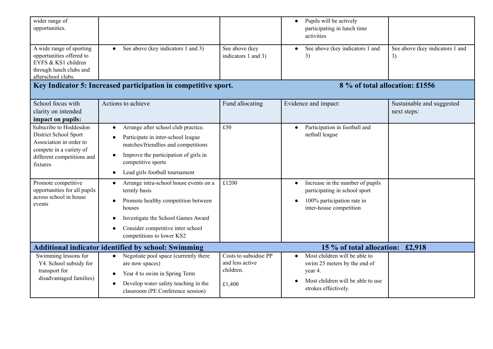| wider range of<br>opportunities.                                                                                                                |                                                                                                                                                                                                                                |                                                                 | Pupils will be actively<br>$\bullet$<br>participating in lunch time<br>activities                                                     |                                          |
|-------------------------------------------------------------------------------------------------------------------------------------------------|--------------------------------------------------------------------------------------------------------------------------------------------------------------------------------------------------------------------------------|-----------------------------------------------------------------|---------------------------------------------------------------------------------------------------------------------------------------|------------------------------------------|
| A wide range of sporting<br>opportunities offered to<br>EYFS & KS1 children<br>through lunch clubs and<br>afterschool clubs.                    | See above (key indicators 1 and 3)                                                                                                                                                                                             | See above (key<br>indicators 1 and 3)                           | See above (key indicators 1 and<br>3)                                                                                                 | See above (key indicators 1 and<br>3)    |
|                                                                                                                                                 | Key Indicator 5: Increased participation in competitive sport.                                                                                                                                                                 |                                                                 | 8 % of total allocation: £1556                                                                                                        |                                          |
| School focus with<br>clarity on intended<br>impact on pupils:                                                                                   | Actions to achieve                                                                                                                                                                                                             | Fund allocating                                                 | Evidence and impact:                                                                                                                  | Sustainable and suggested<br>next steps: |
| Subscribe to Hoddesdon<br>District School Sport<br>Association in order to<br>compete in a variety of<br>different competitions and<br>fixtures | Arrange after school club practice.<br>$\bullet$<br>Participate in inter-school league<br>matches/friendlies and competitions<br>Improve the participation of girls in<br>competitive sports<br>Lead girls football tournament | £50                                                             | Participation in football and<br>$\bullet$<br>netball league                                                                          |                                          |
| Promote competitive<br>opportunities for all pupils<br>across school in house<br>events                                                         | Arrange intra-school house events on a<br>termly basis<br>Promote healthy competition between<br>houses<br>Investigate the School Games Award<br>Consider competitive inter school<br>competitions to lower KS2                | £1200                                                           | Increase in the number of pupils<br>participating in school sport<br>100% participation rate in<br>inter-house competition            |                                          |
|                                                                                                                                                 | <b>Additional indicator identified by school: Swimming</b>                                                                                                                                                                     |                                                                 | 15 % of total allocation: £2,918                                                                                                      |                                          |
| Swimming lessons for<br>Y4. School subsidy for<br>transport for<br>disadvantaged families)                                                      | Negotiate pool space (currently there<br>$\bullet$<br>are now spaces)<br>Year 4 to swim in Spring Term<br>$\bullet$<br>Develop water safety teaching in the<br>classroom (PE Conference session)                               | Costs to subsidise PP<br>and less active<br>children.<br>£1,400 | Most children will be able to<br>swim 25 meters by the end of<br>year 4.<br>Most children will be able to use<br>strokes effectively. |                                          |